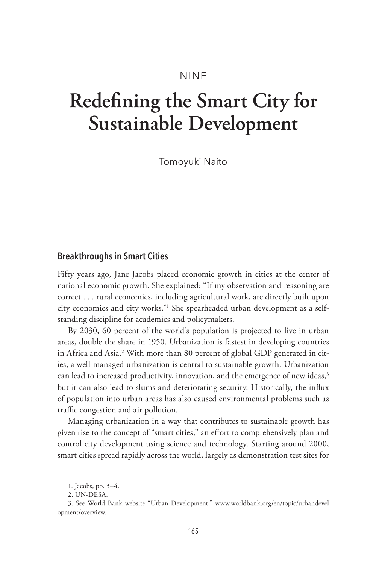# NINE

# **Redefining the Smart City for Sustainable Development**

Tomoyuki Naito

## **Breakthroughs in Smart Cities**

Fifty years ago, Jane Jacobs placed economic growth in cities at the center of national economic growth. She explained: "If my observation and reasoning are correct . . . rural economies, including agricultural work, are directly built upon city economies and city works."1 She spearheaded urban development as a selfstanding discipline for academics and policymakers.

By 2030, 60 percent of the world's population is projected to live in urban areas, double the share in 1950. Urbanization is fastest in developing countries in Africa and Asia.2 With more than 80 percent of global GDP generated in cities, a well-managed urbanization is central to sustainable growth. Urbanization can lead to increased productivity, innovation, and the emergence of new ideas,<sup>3</sup> but it can also lead to slums and deteriorating security. Historically, the influx of population into urban areas has also caused environmental problems such as traffic congestion and air pollution.

Managing urbanization in a way that contributes to sustainable growth has given rise to the concept of "smart cities," an effort to comprehensively plan and control city development using science and technology. Starting around 2000, smart cities spread rapidly across the world, largely as demonstration test sites for

<sup>1.</sup> Jacobs, pp. 3–4.

<sup>2.</sup> UN-DESA.

<sup>3.</sup> See World Bank website "Urban Development," www.worldbank.org/en/topic/urbandevel opment/overview.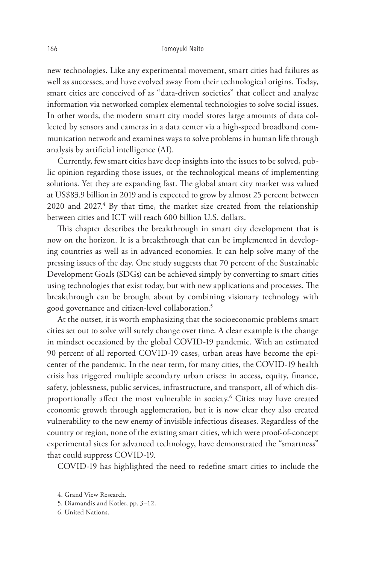#### 166 Tomoyuki Naito

new technologies. Like any experimental movement, smart cities had failures as well as successes, and have evolved away from their technological origins. Today, smart cities are conceived of as "data-driven societies" that collect and analyze information via networked complex elemental technologies to solve social issues. In other words, the modern smart city model stores large amounts of data collected by sensors and cameras in a data center via a high-speed broadband communication network and examines ways to solve problems in human life through analysis by artificial intelligence (AI).

Currently, few smart cities have deep insights into the issues to be solved, public opinion regarding those issues, or the technological means of implementing solutions. Yet they are expanding fast. The global smart city market was valued at US\$83.9 billion in 2019 and is expected to grow by almost 25 percent between 2020 and 2027.<sup>4</sup> By that time, the market size created from the relationship between cities and ICT will reach 600 billion U.S. dollars.

This chapter describes the breakthrough in smart city development that is now on the horizon. It is a breakthrough that can be implemented in developing countries as well as in advanced economies. It can help solve many of the pressing issues of the day. One study suggests that 70 percent of the Sustainable Development Goals (SDGs) can be achieved simply by converting to smart cities using technologies that exist today, but with new applications and processes. The breakthrough can be brought about by combining visionary technology with good governance and citizen-level collaboration.5

At the outset, it is worth emphasizing that the socioeconomic problems smart cities set out to solve will surely change over time. A clear example is the change in mindset occasioned by the global COVID-19 pandemic. With an estimated 90 percent of all reported COVID-19 cases, urban areas have become the epicenter of the pandemic. In the near term, for many cities, the COVID-19 health crisis has triggered multiple secondary urban crises: in access, equity, finance, safety, joblessness, public services, infrastructure, and transport, all of which disproportionally affect the most vulnerable in society.6 Cities may have created economic growth through agglomeration, but it is now clear they also created vulnerability to the new enemy of invisible infectious diseases. Regardless of the country or region, none of the existing smart cities, which were proof-of-concept experimental sites for advanced technology, have demonstrated the "smartness" that could suppress COVID-19.

COVID-19 has highlighted the need to redefine smart cities to include the

- 5. Diamandis and Kotler, pp. 3–12.
- 6. United Nations.

<sup>4.</sup> Grand View Research.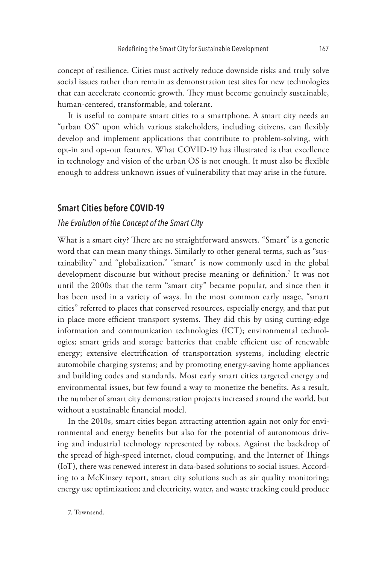concept of resilience. Cities must actively reduce downside risks and truly solve social issues rather than remain as demonstration test sites for new technologies that can accelerate economic growth. They must become genuinely sustainable, human-centered, transformable, and tolerant.

It is useful to compare smart cities to a smartphone. A smart city needs an "urban OS" upon which various stakeholders, including citizens, can flexibly develop and implement applications that contribute to problem-solving, with opt-in and opt-out features. What COVID-19 has illustrated is that excellence in technology and vision of the urban OS is not enough. It must also be flexible enough to address unknown issues of vulnerability that may arise in the future.

# **Smart Cities before COVID-19**

## *The Evolution of the Concept of the Smart City*

What is a smart city? There are no straightforward answers. "Smart" is a generic word that can mean many things. Similarly to other general terms, such as "sustainability" and "globalization," "smart" is now commonly used in the global development discourse but without precise meaning or definition.7 It was not until the 2000s that the term "smart city" became popular, and since then it has been used in a variety of ways. In the most common early usage, "smart cities" referred to places that conserved resources, especially energy, and that put in place more efficient transport systems. They did this by using cutting-edge information and communication technologies (ICT); environmental technologies; smart grids and storage batteries that enable efficient use of renewable energy; extensive electrification of transportation systems, including electric automobile charging systems; and by promoting energy-saving home appliances and building codes and standards. Most early smart cities targeted energy and environmental issues, but few found a way to monetize the benefits. As a result, the number of smart city demonstration projects increased around the world, but without a sustainable financial model.

In the 2010s, smart cities began attracting attention again not only for environmental and energy benefits but also for the potential of autonomous driving and industrial technology represented by robots. Against the backdrop of the spread of high-speed internet, cloud computing, and the Internet of Things (IoT), there was renewed interest in data-based solutions to social issues. According to a McKinsey report, smart city solutions such as air quality monitoring; energy use optimization; and electricity, water, and waste tracking could produce

7. Townsend.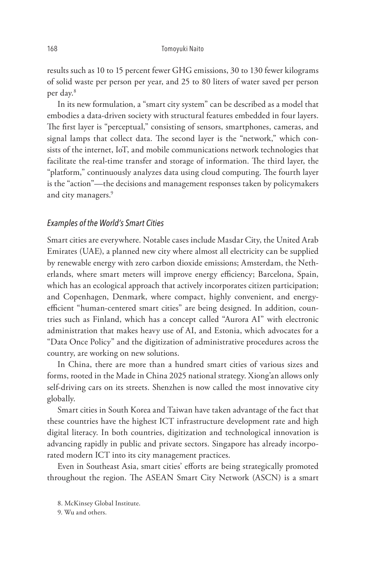results such as 10 to 15 percent fewer GHG emissions, 30 to 130 fewer kilograms of solid waste per person per year, and 25 to 80 liters of water saved per person per day.8

In its new formulation, a "smart city system" can be described as a model that embodies a data-driven society with structural features embedded in four layers. The first layer is "perceptual," consisting of sensors, smartphones, cameras, and signal lamps that collect data. The second layer is the "network," which consists of the internet, IoT, and mobile communications network technologies that facilitate the real-time transfer and storage of information. The third layer, the "platform," continuously analyzes data using cloud computing. The fourth layer is the "action"—the decisions and management responses taken by policymakers and city managers.<sup>9</sup>

#### *Examples of the World's Smart Cities*

Smart cities are everywhere. Notable cases include Masdar City, the United Arab Emirates (UAE), a planned new city where almost all electricity can be supplied by renewable energy with zero carbon dioxide emissions; Amsterdam, the Netherlands, where smart meters will improve energy efficiency; Barcelona, Spain, which has an ecological approach that actively incorporates citizen participation; and Copenhagen, Denmark, where compact, highly convenient, and energyefficient "human-centered smart cities" are being designed. In addition, countries such as Finland, which has a concept called "Aurora AI" with electronic administration that makes heavy use of AI, and Estonia, which advocates for a "Data Once Policy" and the digitization of administrative procedures across the country, are working on new solutions.

In China, there are more than a hundred smart cities of various sizes and forms, rooted in the Made in China 2025 national strategy. Xiong'an allows only self-driving cars on its streets. Shenzhen is now called the most innovative city globally.

Smart cities in South Korea and Taiwan have taken advantage of the fact that these countries have the highest ICT infrastructure development rate and high digital literacy. In both countries, digitization and technological innovation is advancing rapidly in public and private sectors. Singapore has already incorporated modern ICT into its city management practices.

Even in Southeast Asia, smart cities' efforts are being strategically promoted throughout the region. The ASEAN Smart City Network (ASCN) is a smart

<sup>8.</sup> McKinsey Global Institute.

<sup>9.</sup> Wu and others.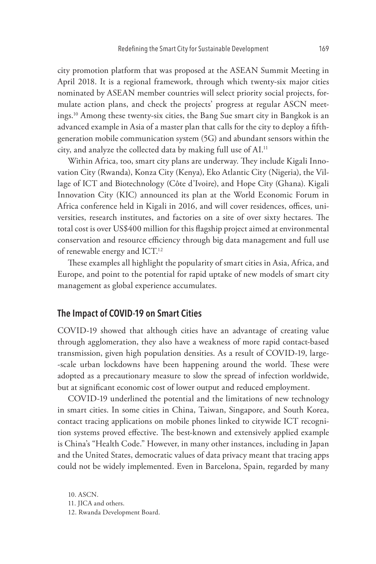city promotion platform that was proposed at the ASEAN Summit Meeting in April 2018. It is a regional framework, through which twenty-six major cities nominated by ASEAN member countries will select priority social projects, formulate action plans, and check the projects' progress at regular ASCN meetings.10 Among these twenty-six cities, the Bang Sue smart city in Bangkok is an advanced example in Asia of a master plan that calls for the city to deploy a fifthgeneration mobile communication system (5G) and abundant sensors within the city, and analyze the collected data by making full use of AI.11

Within Africa, too, smart city plans are underway. They include Kigali Innovation City (Rwanda), Konza City (Kenya), Eko Atlantic City (Nigeria), the Village of ICT and Biotechnology (Côte d'Ivoire), and Hope City (Ghana). Kigali Innovation City (KIC) announced its plan at the World Economic Forum in Africa conference held in Kigali in 2016, and will cover residences, offices, universities, research institutes, and factories on a site of over sixty hectares. The total cost is over US\$400 million for this flagship project aimed at environmental conservation and resource efficiency through big data management and full use of renewable energy and ICT.12

These examples all highlight the popularity of smart cities in Asia, Africa, and Europe, and point to the potential for rapid uptake of new models of smart city management as global experience accumulates.

# **The Impact of COVID-19 on Smart Cities**

COVID-19 showed that although cities have an advantage of creating value through agglomeration, they also have a weakness of more rapid contact-based transmission, given high population densities. As a result of COVID-19, large- -scale urban lockdowns have been happening around the world. These were adopted as a precautionary measure to slow the spread of infection worldwide, but at significant economic cost of lower output and reduced employment.

COVID-19 underlined the potential and the limitations of new technology in smart cities. In some cities in China, Taiwan, Singapore, and South Korea, contact tracing applications on mobile phones linked to citywide ICT recognition systems proved effective. The best-known and extensively applied example is China's "Health Code." However, in many other instances, including in Japan and the United States, democratic values of data privacy meant that tracing apps could not be widely implemented. Even in Barcelona, Spain, regarded by many

10. ASCN. 11. JICA and others. 12. Rwanda Development Board.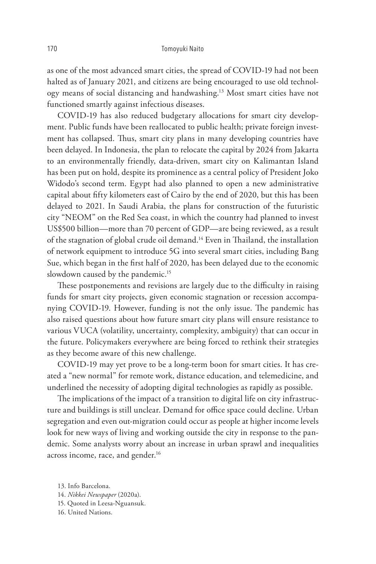as one of the most advanced smart cities, the spread of COVID-19 had not been halted as of January 2021, and citizens are being encouraged to use old technology means of social distancing and handwashing.13 Most smart cities have not functioned smartly against infectious diseases.

COVID-19 has also reduced budgetary allocations for smart city development. Public funds have been reallocated to public health; private foreign investment has collapsed. Thus, smart city plans in many developing countries have been delayed. In Indonesia, the plan to relocate the capital by 2024 from Jakarta to an environmentally friendly, data-driven, smart city on Kalimantan Island has been put on hold, despite its prominence as a central policy of President Joko Widodo's second term. Egypt had also planned to open a new administrative capital about fifty kilometers east of Cairo by the end of 2020, but this has been delayed to 2021. In Saudi Arabia, the plans for construction of the futuristic city "NEOM" on the Red Sea coast, in which the country had planned to invest US\$500 billion—more than 70 percent of GDP—are being reviewed, as a result of the stagnation of global crude oil demand.<sup>14</sup> Even in Thailand, the installation of network equipment to introduce 5G into several smart cities, including Bang Sue, which began in the first half of 2020, has been delayed due to the economic slowdown caused by the pandemic.<sup>15</sup>

These postponements and revisions are largely due to the difficulty in raising funds for smart city projects, given economic stagnation or recession accompanying COVID-19. However, funding is not the only issue. The pandemic has also raised questions about how future smart city plans will ensure resistance to various VUCA (volatility, uncertainty, complexity, ambiguity) that can occur in the future. Policymakers everywhere are being forced to rethink their strategies as they become aware of this new challenge.

COVID-19 may yet prove to be a long-term boon for smart cities. It has created a "new normal" for remote work, distance education, and telemedicine, and underlined the necessity of adopting digital technologies as rapidly as possible.

The implications of the impact of a transition to digital life on city infrastructure and buildings is still unclear. Demand for office space could decline. Urban segregation and even out-migration could occur as people at higher income levels look for new ways of living and working outside the city in response to the pandemic. Some analysts worry about an increase in urban sprawl and inequalities across income, race, and gender.<sup>16</sup>

13. Info Barcelona. 14. *Nikkei Newspaper* (2020a). 15. Quoted in Leesa-Nguansuk. 16. United Nations.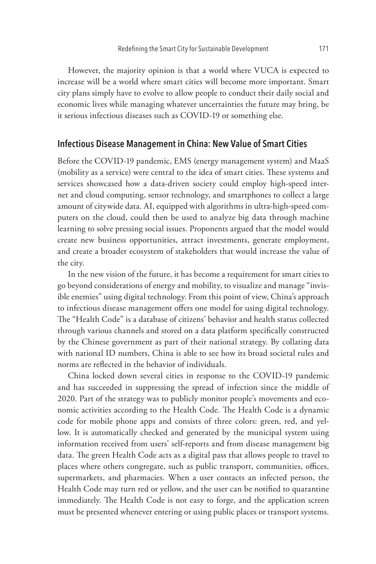However, the majority opinion is that a world where VUCA is expected to increase will be a world where smart cities will become more important. Smart city plans simply have to evolve to allow people to conduct their daily social and economic lives while managing whatever uncertainties the future may bring, be it serious infectious diseases such as COVID-19 or something else.

#### **Infectious Disease Management in China: New Value of Smart Cities**

Before the COVID-19 pandemic, EMS (energy management system) and MaaS (mobility as a service) were central to the idea of smart cities. These systems and services showcased how a data-driven society could employ high-speed internet and cloud computing, sensor technology, and smartphones to collect a large amount of citywide data. AI, equipped with algorithms in ultra-high-speed computers on the cloud, could then be used to analyze big data through machine learning to solve pressing social issues. Proponents argued that the model would create new business opportunities, attract investments, generate employment, and create a broader ecosystem of stakeholders that would increase the value of the city.

In the new vision of the future, it has become a requirement for smart cities to go beyond considerations of energy and mobility, to visualize and manage "invisible enemies" using digital technology. From this point of view, China's approach to infectious disease management offers one model for using digital technology. The "Health Code" is a database of citizens' behavior and health status collected through various channels and stored on a data platform specifically constructed by the Chinese government as part of their national strategy. By collating data with national ID numbers, China is able to see how its broad societal rules and norms are reflected in the behavior of individuals.

China locked down several cities in response to the COVID-19 pandemic and has succeeded in suppressing the spread of infection since the middle of 2020. Part of the strategy was to publicly monitor people's movements and economic activities according to the Health Code. The Health Code is a dynamic code for mobile phone apps and consists of three colors: green, red, and yellow. It is automatically checked and generated by the municipal system using information received from users' self-reports and from disease management big data. The green Health Code acts as a digital pass that allows people to travel to places where others congregate, such as public transport, communities, offices, supermarkets, and pharmacies. When a user contacts an infected person, the Health Code may turn red or yellow, and the user can be notified to quarantine immediately. The Health Code is not easy to forge, and the application screen must be presented whenever entering or using public places or transport systems.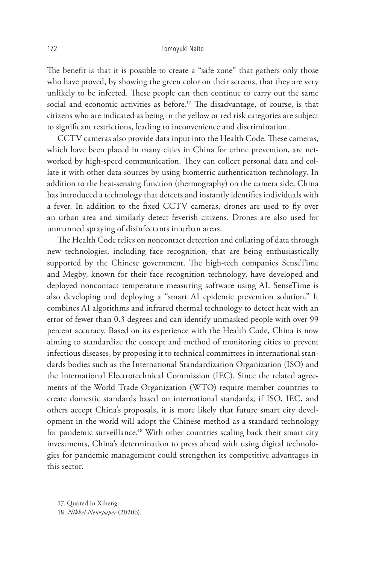#### 172 Tomoyuki Naito

The benefit is that it is possible to create a "safe zone" that gathers only those who have proved, by showing the green color on their screens, that they are very unlikely to be infected. These people can then continue to carry out the same social and economic activities as before.<sup>17</sup> The disadvantage, of course, is that citizens who are indicated as being in the yellow or red risk categories are subject to significant restrictions, leading to inconvenience and discrimination.

CCTV cameras also provide data input into the Health Code. These cameras, which have been placed in many cities in China for crime prevention, are networked by high-speed communication. They can collect personal data and collate it with other data sources by using biometric authentication technology. In addition to the heat-sensing function (thermography) on the camera side, China has introduced a technology that detects and instantly identifies individuals with a fever. In addition to the fixed CCTV cameras, drones are used to fly over an urban area and similarly detect feverish citizens. Drones are also used for unmanned spraying of disinfectants in urban areas.

The Health Code relies on noncontact detection and collating of data through new technologies, including face recognition, that are being enthusiastically supported by the Chinese government. The high-tech companies SenseTime and Megby, known for their face recognition technology, have developed and deployed noncontact temperature measuring software using AI. SenseTime is also developing and deploying a "smart AI epidemic prevention solution." It combines AI algorithms and infrared thermal technology to detect heat with an error of fewer than 0.3 degrees and can identify unmasked people with over 99 percent accuracy. Based on its experience with the Health Code, China is now aiming to standardize the concept and method of monitoring cities to prevent infectious diseases, by proposing it to technical committees in international standards bodies such as the International Standardization Organization (ISO) and the International Electrotechnical Commission (IEC). Since the related agreements of the World Trade Organization (WTO) require member countries to create domestic standards based on international standards, if ISO, IEC, and others accept China's proposals, it is more likely that future smart city development in the world will adopt the Chinese method as a standard technology for pandemic surveillance.<sup>18</sup> With other countries scaling back their smart city investments, China's determination to press ahead with using digital technologies for pandemic management could strengthen its competitive advantages in this sector.

17. Quoted in Xiheng. 18. *Nikkei Newspaper* (2020b).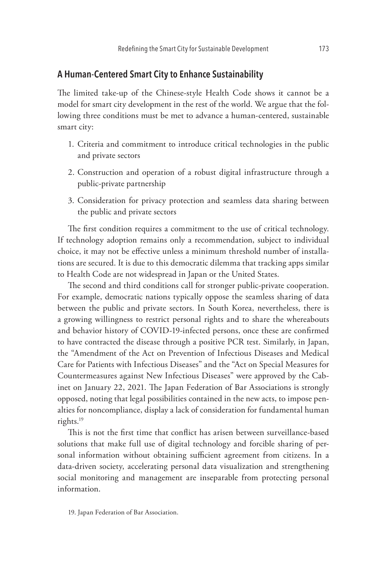## **A Human-Centered Smart City to Enhance Sustainability**

The limited take-up of the Chinese-style Health Code shows it cannot be a model for smart city development in the rest of the world. We argue that the following three conditions must be met to advance a human-centered, sustainable smart city:

- 1. Criteria and commitment to introduce critical technologies in the public and private sectors
- 2. Construction and operation of a robust digital infrastructure through a public-private partnership
- 3. Consideration for privacy protection and seamless data sharing between the public and private sectors

The first condition requires a commitment to the use of critical technology. If technology adoption remains only a recommendation, subject to individual choice, it may not be effective unless a minimum threshold number of installations are secured. It is due to this democratic dilemma that tracking apps similar to Health Code are not widespread in Japan or the United States.

The second and third conditions call for stronger public-private cooperation. For example, democratic nations typically oppose the seamless sharing of data between the public and private sectors. In South Korea, nevertheless, there is a growing willingness to restrict personal rights and to share the whereabouts and behavior history of COVID-19-infected persons, once these are confirmed to have contracted the disease through a positive PCR test. Similarly, in Japan, the "Amendment of the Act on Prevention of Infectious Diseases and Medical Care for Patients with Infectious Diseases" and the "Act on Special Measures for Countermeasures against New Infectious Diseases" were approved by the Cabinet on January 22, 2021. The Japan Federation of Bar Associations is strongly opposed, noting that legal possibilities contained in the new acts, to impose penalties for noncompliance, display a lack of consideration for fundamental human rights.19

This is not the first time that conflict has arisen between surveillance-based solutions that make full use of digital technology and forcible sharing of personal information without obtaining sufficient agreement from citizens. In a data-driven society, accelerating personal data visualization and strengthening social monitoring and management are inseparable from protecting personal information.

<sup>19.</sup> Japan Federation of Bar Association.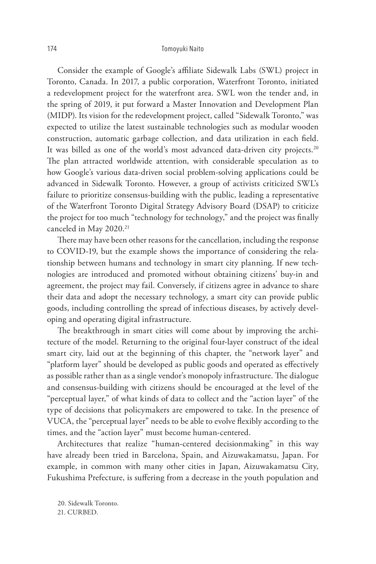#### 174 Tomoyuki Naito

Consider the example of Google's affiliate Sidewalk Labs (SWL) project in Toronto, Canada. In 2017, a public corporation, Waterfront Toronto, initiated a redevelopment project for the waterfront area. SWL won the tender and, in the spring of 2019, it put forward a Master Innovation and Development Plan (MIDP). Its vision for the redevelopment project, called "Sidewalk Toronto," was expected to utilize the latest sustainable technologies such as modular wooden construction, automatic garbage collection, and data utilization in each field. It was billed as one of the world's most advanced data-driven city projects.<sup>20</sup> The plan attracted worldwide attention, with considerable speculation as to how Google's various data-driven social problem-solving applications could be advanced in Sidewalk Toronto. However, a group of activists criticized SWL's failure to prioritize consensus-building with the public, leading a representative of the Waterfront Toronto Digital Strategy Advisory Board (DSAP) to criticize the project for too much "technology for technology," and the project was finally canceled in May 2020.<sup>21</sup>

There may have been other reasons for the cancellation, including the response to COVID-19, but the example shows the importance of considering the relationship between humans and technology in smart city planning. If new technologies are introduced and promoted without obtaining citizens' buy-in and agreement, the project may fail. Conversely, if citizens agree in advance to share their data and adopt the necessary technology, a smart city can provide public goods, including controlling the spread of infectious diseases, by actively developing and operating digital infrastructure.

The breakthrough in smart cities will come about by improving the architecture of the model. Returning to the original four-layer construct of the ideal smart city, laid out at the beginning of this chapter, the "network layer" and "platform layer" should be developed as public goods and operated as effectively as possible rather than as a single vendor's monopoly infrastructure. The dialogue and consensus-building with citizens should be encouraged at the level of the "perceptual layer," of what kinds of data to collect and the "action layer" of the type of decisions that policymakers are empowered to take. In the presence of VUCA, the "perceptual layer" needs to be able to evolve flexibly according to the times, and the "action layer" must become human-centered.

Architectures that realize "human-centered decisionmaking" in this way have already been tried in Barcelona, Spain, and Aizuwakamatsu, Japan. For example, in common with many other cities in Japan, Aizuwakamatsu City, Fukushima Prefecture, is suffering from a decrease in the youth population and

20. Sidewalk Toronto. 21. CURBED.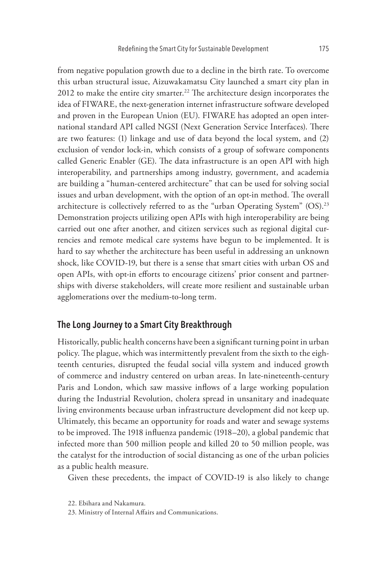from negative population growth due to a decline in the birth rate. To overcome this urban structural issue, Aizuwakamatsu City launched a smart city plan in 2012 to make the entire city smarter.<sup>22</sup> The architecture design incorporates the idea of FIWARE, the next-generation internet infrastructure software developed and proven in the European Union (EU). FIWARE has adopted an open international standard API called NGSI (Next Generation Service Interfaces). There are two features: (1) linkage and use of data beyond the local system, and (2) exclusion of vendor lock-in, which consists of a group of software components called Generic Enabler (GE). The data infrastructure is an open API with high interoperability, and partnerships among industry, government, and academia are building a "human-centered architecture" that can be used for solving social issues and urban development, with the option of an opt-in method. The overall architecture is collectively referred to as the "urban Operating System" (OS).<sup>23</sup> Demonstration projects utilizing open APIs with high interoperability are being carried out one after another, and citizen services such as regional digital currencies and remote medical care systems have begun to be implemented. It is hard to say whether the architecture has been useful in addressing an unknown shock, like COVID-19, but there is a sense that smart cities with urban OS and open APIs, with opt-in efforts to encourage citizens' prior consent and partnerships with diverse stakeholders, will create more resilient and sustainable urban agglomerations over the medium-to-long term.

# **The Long Journey to a Smart City Breakthrough**

Historically, public health concerns have been a significant turning point in urban policy. The plague, which was intermittently prevalent from the sixth to the eighteenth centuries, disrupted the feudal social villa system and induced growth of commerce and industry centered on urban areas. In late-nineteenth-century Paris and London, which saw massive inflows of a large working population during the Industrial Revolution, cholera spread in unsanitary and inadequate living environments because urban infrastructure development did not keep up. Ultimately, this became an opportunity for roads and water and sewage systems to be improved. The 1918 influenza pandemic (1918–20), a global pandemic that infected more than 500 million people and killed 20 to 50 million people, was the catalyst for the introduction of social distancing as one of the urban policies as a public health measure.

Given these precedents, the impact of COVID-19 is also likely to change

<sup>22.</sup> Ebihara and Nakamura.

<sup>23.</sup> Ministry of Internal Affairs and Communications.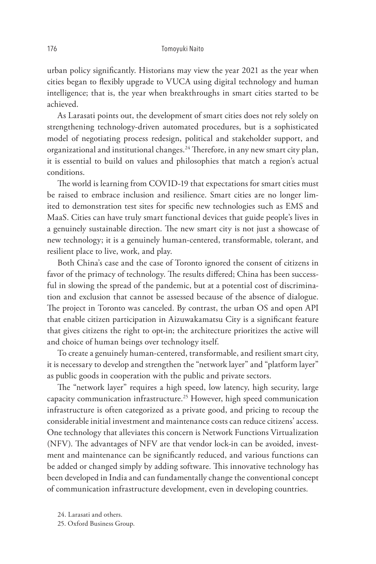urban policy significantly. Historians may view the year 2021 as the year when cities began to flexibly upgrade to VUCA using digital technology and human intelligence; that is, the year when breakthroughs in smart cities started to be achieved.

As Larasati points out, the development of smart cities does not rely solely on strengthening technology-driven automated procedures, but is a sophisticated model of negotiating process redesign, political and stakeholder support, and organizational and institutional changes.24 Therefore, in any new smart city plan, it is essential to build on values and philosophies that match a region's actual conditions.

The world is learning from COVID-19 that expectations for smart cities must be raised to embrace inclusion and resilience. Smart cities are no longer limited to demonstration test sites for specific new technologies such as EMS and MaaS. Cities can have truly smart functional devices that guide people's lives in a genuinely sustainable direction. The new smart city is not just a showcase of new technology; it is a genuinely human-centered, transformable, tolerant, and resilient place to live, work, and play.

Both China's case and the case of Toronto ignored the consent of citizens in favor of the primacy of technology. The results differed; China has been successful in slowing the spread of the pandemic, but at a potential cost of discrimination and exclusion that cannot be assessed because of the absence of dialogue. The project in Toronto was canceled. By contrast, the urban OS and open API that enable citizen participation in Aizuwakamatsu City is a significant feature that gives citizens the right to opt-in; the architecture prioritizes the active will and choice of human beings over technology itself.

To create a genuinely human-centered, transformable, and resilient smart city, it is necessary to develop and strengthen the "network layer" and "platform layer" as public goods in cooperation with the public and private sectors.

The "network layer" requires a high speed, low latency, high security, large capacity communication infrastructure.25 However, high speed communication infrastructure is often categorized as a private good, and pricing to recoup the considerable initial investment and maintenance costs can reduce citizens' access. One technology that alleviates this concern is Network Functions Virtualization (NFV). The advantages of NFV are that vendor lock-in can be avoided, investment and maintenance can be significantly reduced, and various functions can be added or changed simply by adding software. This innovative technology has been developed in India and can fundamentally change the conventional concept of communication infrastructure development, even in developing countries.

24. Larasati and others. 25. Oxford Business Group.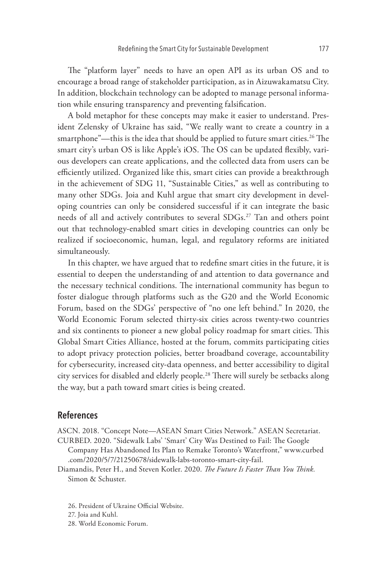The "platform layer" needs to have an open API as its urban OS and to encourage a broad range of stakeholder participation, as in Aizuwakamatsu City. In addition, blockchain technology can be adopted to manage personal information while ensuring transparency and preventing falsification.

A bold metaphor for these concepts may make it easier to understand. President Zelensky of Ukraine has said, "We really want to create a country in a smartphone"—this is the idea that should be applied to future smart cities.<sup>26</sup> The smart city's urban OS is like Apple's iOS. The OS can be updated flexibly, various developers can create applications, and the collected data from users can be efficiently utilized. Organized like this, smart cities can provide a breakthrough in the achievement of SDG 11, "Sustainable Cities," as well as contributing to many other SDGs. Joia and Kuhl argue that smart city development in developing countries can only be considered successful if it can integrate the basic needs of all and actively contributes to several SDGs.27 Tan and others point out that technology-enabled smart cities in developing countries can only be realized if socioeconomic, human, legal, and regulatory reforms are initiated simultaneously.

In this chapter, we have argued that to redefine smart cities in the future, it is essential to deepen the understanding of and attention to data governance and the necessary technical conditions. The international community has begun to foster dialogue through platforms such as the G20 and the World Economic Forum, based on the SDGs' perspective of "no one left behind." In 2020, the World Economic Forum selected thirty-six cities across twenty-two countries and six continents to pioneer a new global policy roadmap for smart cities. This Global Smart Cities Alliance, hosted at the forum, commits participating cities to adopt privacy protection policies, better broadband coverage, accountability for cybersecurity, increased city-data openness, and better accessibility to digital city services for disabled and elderly people.28 There will surely be setbacks along the way, but a path toward smart cities is being created.

### **References**

ASCN. 2018. "Concept Note—ASEAN Smart Cities Network." ASEAN Secretariat.

- CURBED. 2020. "Sidewalk Labs' 'Smart' City Was Destined to Fail: The Google Company Has Abandoned Its Plan to Remake Toronto's Waterfront," www.curbed .com/2020/5/7/21250678/sidewalk-labs-toronto-smart-city-fail.
- Diamandis, Peter H., and Steven Kotler. 2020. *The Future Is Faster Than You Think.* Simon & Schuster.
	- 26. President of Ukraine Official Website.
	- 27. Joia and Kuhl.
	- 28. World Economic Forum.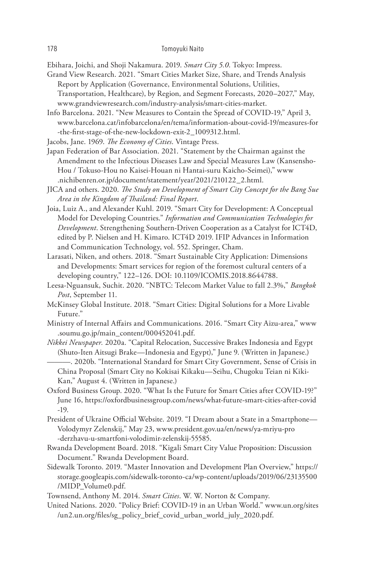Ebihara, Joichi, and Shoji Nakamura. 2019. *Smart City 5.0*. Tokyo: Impress.

- Grand View Research. 2021. "Smart Cities Market Size, Share, and Trends Analysis Report by Application (Governance, Environmental Solutions, Utilities, Transportation, Healthcare), by Region, and Segment Forecasts, 2020–2027," May, www.grandviewresearch.com/industry-analysis/smart-cities-market.
- Info Barcelona. 2021. "New Measures to Contain the Spread of COVID-19," April 3, www.barcelona.cat/infobarcelona/en/tema/information-about-covid-19/measures-for -the-first-stage-of-the-new-lockdown-exit-2\_1009312.html.
- Jacobs, Jane. 1969. *The Economy of Cities*. Vintage Press.
- Japan Federation of Bar Association. 2021. "Statement by the Chairman against the Amendment to the Infectious Diseases Law and Special Measures Law (Kansensho-Hou / Tokuso-Hou no Kaisei-Houan ni Hantai-suru Kaicho-Seimei)," www .nichibenren.or.jp/document/statement/year/2021/210122\_2.html.
- JICA and others. 2020. *The Study on Development of Smart City Concept for the Bang Sue Area in the Kingdom of Thailand: Final Report*.
- Joia, Luiz A., and Alexander Kuhl. 2019. "Smart City for Development: A Conceptual Model for Developing Countries." *Information and Communication Technologies for Development*. Strengthening Southern-Driven Cooperation as a Catalyst for ICT4D, edited by P. Nielsen and H. Kimaro. ICT4D 2019. IFIP Advances in Information and Communication Technology, vol. 552. Springer, Cham.
- Larasati, Niken, and others. 2018. "Smart Sustainable City Application: Dimensions and Developments: Smart services for region of the foremost cultural centers of a developing country," 122–126. DOI: 10.1109/ICOMIS.2018.8644788.
- Leesa-Nguansuk, Suchit. 2020. "NBTC: Telecom Market Value to fall 2.3%," *Bangkok Post*, September 11.
- McKinsey Global Institute. 2018. "Smart Cities: Digital Solutions for a More Livable Future."
- Ministry of Internal Affairs and Communications. 2016. "Smart City Aizu-area," www .soumu.go.jp/main\_content/000452041.pdf.
- *Nikkei Newspaper.* 2020a. "Capital Relocation, Successive Brakes Indonesia and Egypt (Shuto-Iten Aitsugi Brake—Indonesia and Egypt)," June 9. (Written in Japanese.)
	- ———. 2020b. "International Standard for Smart City Government, Sense of Crisis in China Proposal (Smart City no Kokisai Kikaku—Seihu, Chugoku Teian ni Kiki-Kan," August 4. (Written in Japanese.)
- Oxford Business Group. 2020. "What Is the Future for Smart Cities after COVID-19?" June 16, https://oxfordbusinessgroup.com/news/what-future-smart-cities-after-covid -19.
- President of Ukraine Official Website. 2019. "I Dream about a State in a Smartphone— Volodymyr Zelenskij," May 23, www.president.gov.ua/en/news/ya-mriyu-pro -derzhavu-u-smartfoni-volodimir-zelenskij-55585.
- Rwanda Development Board. 2018. "Kigali Smart City Value Proposition: Discussion Document." Rwanda Development Board.
- Sidewalk Toronto. 2019. "Master Innovation and Development Plan Overview," https:// storage.googleapis.com/sidewalk-toronto-ca/wp-content/uploads/2019/06/23135500 /MIDP\_Volume0.pdf.
- Townsend, Anthony M. 2014. *Smart Cities*. W. W. Norton & Company.
- United Nations. 2020. "Policy Brief: COVID-19 in an Urban World." www.un.org/sites /un2.un.org/files/sg\_policy\_brief\_covid\_urban\_world\_july\_2020.pdf.